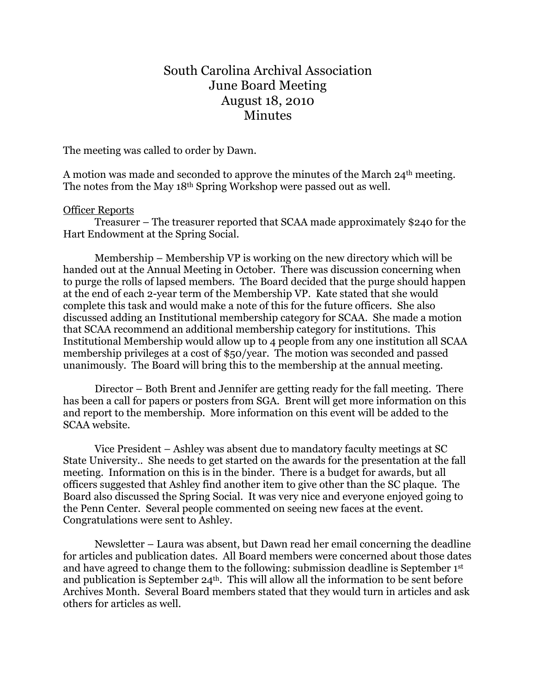## South Carolina Archival Association June Board Meeting August 18, 2010 Minutes

The meeting was called to order by Dawn.

A motion was made and seconded to approve the minutes of the March 24<sup>th</sup> meeting. The notes from the May 18th Spring Workshop were passed out as well.

## Officer Reports

Treasurer – The treasurer reported that SCAA made approximately \$240 for the Hart Endowment at the Spring Social.

Membership – Membership VP is working on the new directory which will be handed out at the Annual Meeting in October. There was discussion concerning when to purge the rolls of lapsed members. The Board decided that the purge should happen at the end of each 2-year term of the Membership VP. Kate stated that she would complete this task and would make a note of this for the future officers. She also discussed adding an Institutional membership category for SCAA. She made a motion that SCAA recommend an additional membership category for institutions. This Institutional Membership would allow up to 4 people from any one institution all SCAA membership privileges at a cost of \$50/year. The motion was seconded and passed unanimously. The Board will bring this to the membership at the annual meeting.

Director – Both Brent and Jennifer are getting ready for the fall meeting. There has been a call for papers or posters from SGA. Brent will get more information on this and report to the membership. More information on this event will be added to the SCAA website.

Vice President – Ashley was absent due to mandatory faculty meetings at SC State University.. She needs to get started on the awards for the presentation at the fall meeting. Information on this is in the binder. There is a budget for awards, but all officers suggested that Ashley find another item to give other than the SC plaque. The Board also discussed the Spring Social. It was very nice and everyone enjoyed going to the Penn Center. Several people commented on seeing new faces at the event. Congratulations were sent to Ashley.

Newsletter – Laura was absent, but Dawn read her email concerning the deadline for articles and publication dates. All Board members were concerned about those dates and have agreed to change them to the following: submission deadline is September 1st and publication is September 24th. This will allow all the information to be sent before Archives Month. Several Board members stated that they would turn in articles and ask others for articles as well.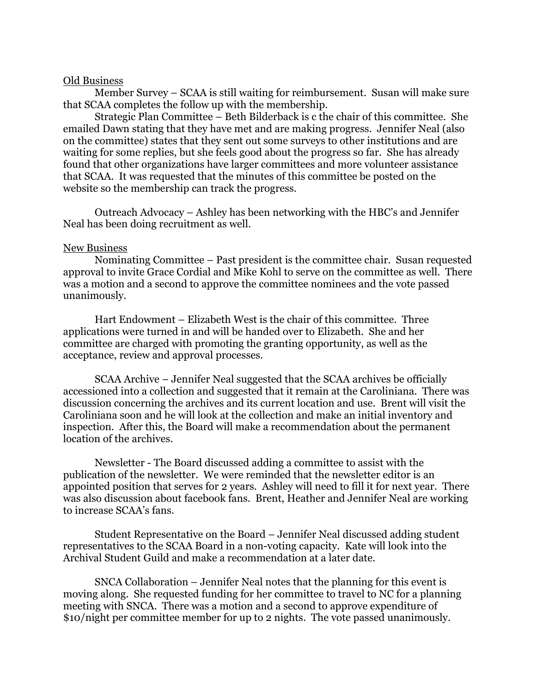## Old Business

Member Survey – SCAA is still waiting for reimbursement. Susan will make sure that SCAA completes the follow up with the membership.

Strategic Plan Committee – Beth Bilderback is c the chair of this committee. She emailed Dawn stating that they have met and are making progress. Jennifer Neal (also on the committee) states that they sent out some surveys to other institutions and are waiting for some replies, but she feels good about the progress so far. She has already found that other organizations have larger committees and more volunteer assistance that SCAA. It was requested that the minutes of this committee be posted on the website so the membership can track the progress.

Outreach Advocacy – Ashley has been networking with the HBC's and Jennifer Neal has been doing recruitment as well.

## New Business

Nominating Committee – Past president is the committee chair. Susan requested approval to invite Grace Cordial and Mike Kohl to serve on the committee as well. There was a motion and a second to approve the committee nominees and the vote passed unanimously.

Hart Endowment – Elizabeth West is the chair of this committee. Three applications were turned in and will be handed over to Elizabeth. She and her committee are charged with promoting the granting opportunity, as well as the acceptance, review and approval processes.

SCAA Archive – Jennifer Neal suggested that the SCAA archives be officially accessioned into a collection and suggested that it remain at the Caroliniana. There was discussion concerning the archives and its current location and use. Brent will visit the Caroliniana soon and he will look at the collection and make an initial inventory and inspection. After this, the Board will make a recommendation about the permanent location of the archives.

Newsletter - The Board discussed adding a committee to assist with the publication of the newsletter. We were reminded that the newsletter editor is an appointed position that serves for 2 years. Ashley will need to fill it for next year. There was also discussion about facebook fans. Brent, Heather and Jennifer Neal are working to increase SCAA's fans.

Student Representative on the Board – Jennifer Neal discussed adding student representatives to the SCAA Board in a non-voting capacity. Kate will look into the Archival Student Guild and make a recommendation at a later date.

SNCA Collaboration – Jennifer Neal notes that the planning for this event is moving along. She requested funding for her committee to travel to NC for a planning meeting with SNCA. There was a motion and a second to approve expenditure of \$10/night per committee member for up to 2 nights. The vote passed unanimously.